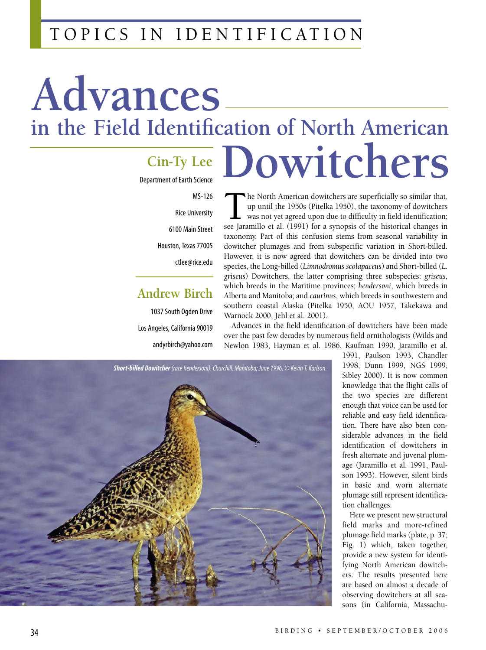## T O P I C S I N I D E N T I F I C AT I O N

# **Advances in the Field Identification of North American Dowitchers**

## **Cin-Ty Lee**

Department of Earth Science

MS-126 Rice University 6100 Main Street Houston, Texas 77005 ctlee@rice.edu

## **Andrew Birch**

1037 South Ogden Drive Los Angeles, California 90019 andyrbirch@yahoo.com

The North American dowitchers are superficially so similar that,<br>up until the 1950s (Pitelka 1950), the taxonomy of dowitchers<br>was not yet agreed upon due to difficulty in field identification;<br>see Iaramillo et al. (1991) up until the 1950s (Pitelka 1950), the taxonomy of dowitchers was not yet agreed upon due to difficulty in field identification; see Jaramillo et al. (1991) for a synopsis of the historical changes in taxonomy. Part of this confusion stems from seasonal variability in dowitcher plumages and from subspecific variation in Short-billed. However, it is now agreed that dowitchers can be divided into two species, the Long-billed (*Limnodromus scolapaceus*) and Short-billed (*L. griseus*) Dowitchers, the latter comprising three subspecies: *griseus*, which breeds in the Maritime provinces; *hendersoni*, which breeds in Alberta and Manitoba; and *caurinus*, which breeds in southwestern and southern coastal Alaska (Pitelka 1950, AOU 1957, Takekawa and Warnock 2000, Jehl et al. 2001).

Advances in the field identification of dowitchers have been made over the past few decades by numerous field ornithologists (Wilds and Newlon 1983, Hayman et al. 1986, Kaufman 1990, Jaramillo et al.



1991, Paulson 1993, Chandler 1998, Dunn 1999, NGS 1999, Sibley 2000). It is now common knowledge that the flight calls of the two species are different enough that voice can be used for reliable and easy field identification. There have also been considerable advances in the field identification of dowitchers in fresh alternate and juvenal plumage (Jaramillo et al. 1991, Paulson 1993). However, silent birds in basic and worn alternate plumage still represent identification challenges.

Here we present new structural field marks and more-refined plumage field marks (plate, p. 37; Fig. 1) which, taken together, provide a new system for identifying North American dowitchers. The results presented here are based on almost a decade of observing dowitchers at all seasons (in California, Massachu-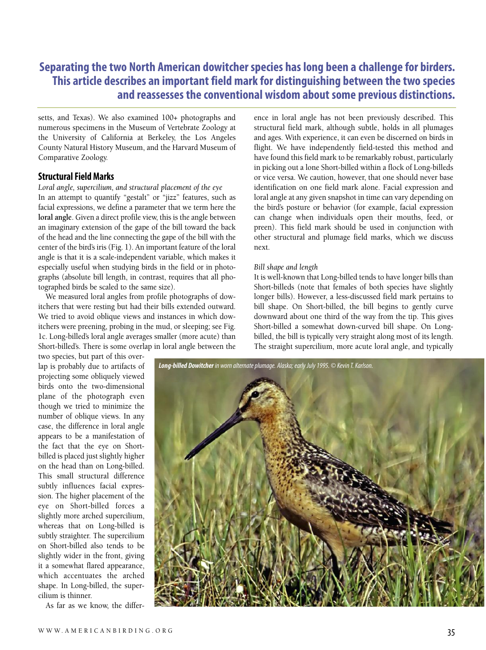## **Separating the two North American dowitcher species has long been a challenge for birders. This article describes an important field mark for distinguishing between the two species and reassesses the conventional wisdom about some previous distinctions.**

setts, and Texas). We also examined 100+ photographs and numerous specimens in the Museum of Vertebrate Zoology at the University of California at Berkeley, the Los Angeles County Natural History Museum, and the Harvard Museum of Comparative Zoology.

#### **Structural Field Marks**

*Loral angle, supercilium, and structural placement of the eye* In an attempt to quantify "gestalt" or "jizz" features, such as facial expressions, we define a parameter that we term here the **loral angle**. Given a direct profile view, this is the angle between an imaginary extension of the gape of the bill toward the back of the head and the line connecting the gape of the bill with the center of the bird's iris (Fig. 1). An important feature of the loral angle is that it is a scale-independent variable, which makes it especially useful when studying birds in the field or in photographs (absolute bill length, in contrast, requires that all photographed birds be scaled to the same size).

We measured loral angles from profile photographs of dowitchers that were resting but had their bills extended outward. We tried to avoid oblique views and instances in which dowitchers were preening, probing in the mud, or sleeping; see Fig. 1c. Long-billed's loral angle averages smaller (more acute) than Short-billed's. There is some overlap in loral angle between the

ence in loral angle has not been previously described. This structural field mark, although subtle, holds in all plumages and ages. With experience, it can even be discerned on birds in flight. We have independently field-tested this method and have found this field mark to be remarkably robust, particularly in picking out a lone Short-billed within a flock of Long-billeds or vice versa. We caution, however, that one should never base identification on one field mark alone. Facial expression and loral angle at any given snapshot in time can vary depending on the bird's posture or behavior (for example, facial expression can change when individuals open their mouths, feed, or preen). This field mark should be used in conjunction with other structural and plumage field marks, which we discuss next.

#### *Bill shape and length*

It is well-known that Long-billed tends to have longer bills than Short-billeds (note that females of both species have slightly longer bills). However, a less-discussed field mark pertains to bill shape. On Short-billed, the bill begins to gently curve downward about one third of the way from the tip. This gives Short-billed a somewhat down-curved bill shape. On Longbilled, the bill is typically very straight along most of its length. The straight supercilium, more acute loral angle, and typically

two species, but part of this overlap is probably due to artifacts of projecting some obliquely viewed birds onto the two-dimensional plane of the photograph even though we tried to minimize the number of oblique views. In any case, the difference in loral angle appears to be a manifestation of the fact that the eye on Shortbilled is placed just slightly higher on the head than on Long-billed. This small structural difference subtly influences facial expression. The higher placement of the eye on Short-billed forces a slightly more arched supercilium, whereas that on Long-billed is subtly straighter. The supercilium on Short-billed also tends to be slightly wider in the front, giving it a somewhat flared appearance, which accentuates the arched shape. In Long-billed, the supercilium is thinner.

As far as we know, the differ-

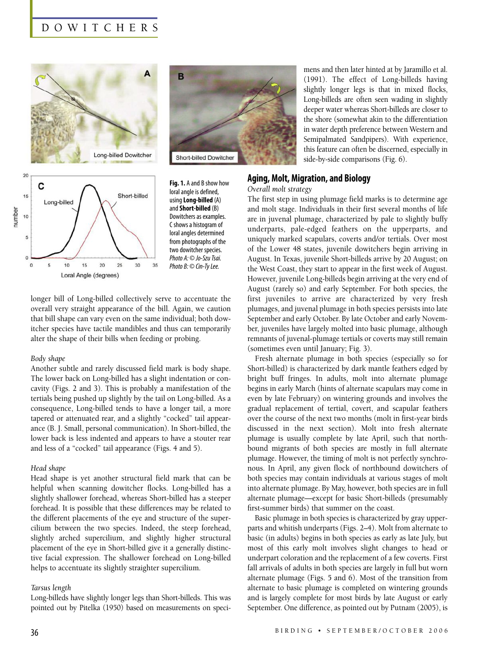## D O W I T C H E R S







**Fig. 1.** A and B show how loral angle is defined, using**Long-billed** (A) and**Short-billed** (B) Dowitchers as examples. Cshowsa histogram of loral angles determined from photographs of the two dowitcher species. Photo A: © Jo-Szu Tsai. Photo B: © Cin-Ty Lee.

longer bill of Long-billed collectively serve to accentuate the overall very straight appearance of the bill. Again, we caution that bill shape can vary even on the same individual; both dowitcher species have tactile mandibles and thus can temporarily alter the shape of their bills when feeding or probing.

#### *Body shape*

Another subtle and rarely discussed field mark is body shape. The lower back on Long-billed has a slight indentation or concavity (Figs. 2 and 3). This is probably a manifestation of the tertials being pushed up slightly by the tail on Long-billed. As a consequence, Long-billed tends to have a longer tail, a more tapered or attenuated rear, and a slightly "cocked" tail appearance (B. J. Small, personal communication). In Short-billed, the lower back is less indented and appears to have a stouter rear and less of a "cocked" tail appearance (Figs. 4 and 5).

#### *Head shape*

Head shape is yet another structural field mark that can be helpful when scanning dowitcher flocks. Long-billed has a slightly shallower forehead, whereas Short-billed has a steeper forehead. It is possible that these differences may be related to the different placements of the eye and structure of the supercilium between the two species. Indeed, the steep forehead, slightly arched supercilium, and slightly higher structural placement of the eye in Short-billed give it a generally distinctive facial expression. The shallower forehead on Long-billed helps to accentuate its slightly straighter supercilium.

#### *Tarsus length*

Long-billeds have slightly longer legs than Short-billeds. This was pointed out by Pitelka (1950) based on measurements on specimens and then later hinted at by Jaramillo et al. (1991). The effect of Long-billeds having slightly longer legs is that in mixed flocks, Long-billeds are often seen wading in slightly deeper water whereas Short-billeds are closer to the shore (somewhat akin to the differentiation in water depth preference between Western and Semipalmated Sandpipers). With experience, this feature can often be discerned, especially in side-by-side comparisons (Fig. 6).

#### **Aging, Molt, Migration, and Biology**

#### *Overall molt strategy*

The first step in using plumage field marks is to determine age and molt stage. Individuals in their first several months of life are in juvenal plumage, characterized by pale to slightly buffy underparts, pale-edged feathers on the upperparts, and uniquely marked scapulars, coverts and/or tertials. Over most of the Lower 48 states, juvenile dowitchers begin arriving in August. In Texas, juvenile Short-billeds arrive by 20 August; on the West Coast, they start to appear in the first week of August. However, juvenile Long-billeds begin arriving at the very end of August (rarely so) and early September. For both species, the first juveniles to arrive are characterized by very fresh plumages, and juvenal plumage in both species persists into late September and early October. By late October and early November, juveniles have largely molted into basic plumage, although remnants of juvenal-plumage tertials or coverts may still remain (sometimes even until January; Fig. 3).

Fresh alternate plumage in both species (especially so for Short-billed) is characterized by dark mantle feathers edged by bright buff fringes. In adults, molt into alternate plumage begins in early March (hints of alternate scapulars may come in even by late February) on wintering grounds and involves the gradual replacement of tertial, covert, and scapular feathers over the course of the next two months (molt in first-year birds discussed in the next section). Molt into fresh alternate plumage is usually complete by late April, such that northbound migrants of both species are mostly in full alternate plumage. However, the timing of molt is not perfectly synchronous. In April, any given flock of northbound dowitchers of both species may contain individuals at various stages of molt into alternate plumage. By May, however, both species are in full alternate plumage—except for basic Short-billeds (presumably first-summer birds) that summer on the coast.

Basic plumage in both species is characterized by gray upperparts and whitish underparts (Figs. 2–4). Molt from alternate to basic (in adults) begins in both species as early as late July, but most of this early molt involves slight changes to head or underpart coloration and the replacement of a few coverts. First fall arrivals of adults in both species are largely in full but worn alternate plumage (Figs. 5 and 6). Most of the transition from alternate to basic plumage is completed on wintering grounds and is largely complete for most birds by late August or early September. One difference, as pointed out by Putnam (2005), is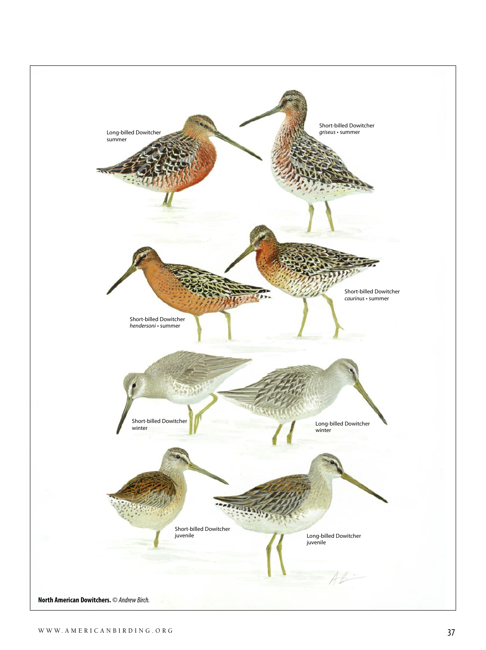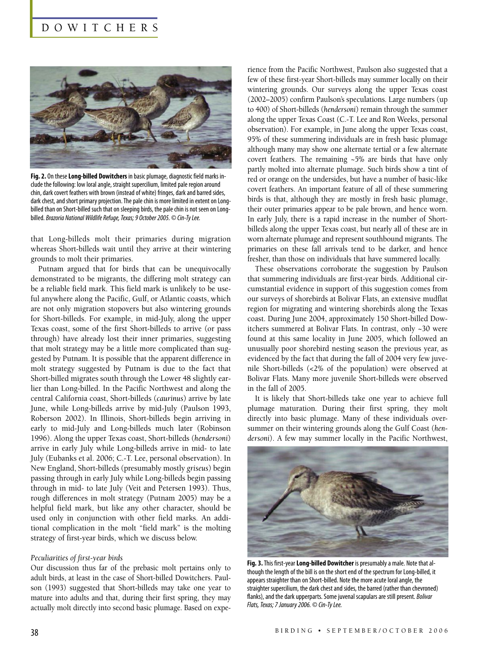### D O W I T C H E R S



Fig. 2. On these Long-billed Dowitchers in basic plumage, diagnostic field marks include the following: low loral angle, straight supercilium, limited pale region around chin, dark covert feathers with brown (instead of white) fringes, dark and barred sides, dark chest, and short primary projection. The pale chin is more limited in extent on Longbilled than on Short-billed such that on sleeping birds, the pale chin is not seen on Longbilled. Brazoria National Wildlife Refuge, Texas; 9 October 2005. © Cin-Ty Lee.

that Long-billeds molt their primaries during migration whereas Short-billeds wait until they arrive at their wintering grounds to molt their primaries.

Putnam argued that for birds that can be unequivocally demonstrated to be migrants, the differing molt strategy can be a reliable field mark. This field mark is unlikely to be useful anywhere along the Pacific, Gulf, or Atlantic coasts, which are not only migration stopovers but also wintering grounds for Short-billeds. For example, in mid-July, along the upper Texas coast, some of the first Short-billeds to arrive (or pass through) have already lost their inner primaries, suggesting that molt strategy may be a little more complicated than suggested by Putnam. It is possible that the apparent difference in molt strategy suggested by Putnam is due to the fact that Short-billed migrates south through the Lower 48 slightly earlier than Long-billed. In the Pacific Northwest and along the central California coast, Short-billeds (*caurinus*) arrive by late June, while Long-billeds arrive by mid-July (Paulson 1993, Roberson 2002). In Illinois, Short-billeds begin arriving in early to mid-July and Long-billeds much later (Robinson 1996). Along the upper Texas coast, Short-billeds (*hendersoni*) arrive in early July while Long-billeds arrive in mid- to late July (Eubanks et al. 2006; C.-T. Lee, personal observation). In New England, Short-billeds (presumably mostly *griseus*) begin passing through in early July while Long-billeds begin passing through in mid- to late July (Veit and Petersen 1993). Thus, rough differences in molt strategy (Putnam 2005) may be a helpful field mark, but like any other character, should be used only in conjunction with other field marks. An additional complication in the molt "field mark" is the molting strategy of first-year birds, which we discuss below.

#### *Peculiarities of first-year birds*

Our discussion thus far of the prebasic molt pertains only to adult birds, at least in the case of Short-billed Dowitchers. Paulson (1993) suggested that Short-billeds may take one year to mature into adults and that, during their first spring, they may actually molt directly into second basic plumage. Based on experience from the Pacific Northwest, Paulson also suggested that a few of these first-year Short-billeds may summer locally on their wintering grounds. Our surveys along the upper Texas coast (2002–2005) confirm Paulson's speculations. Large numbers (up to 400) of Short-billeds (*hendersoni*) remain through the summer along the upper Texas Coast (C.-T. Lee and Ron Weeks, personal observation). For example, in June along the upper Texas coast, 95% of these summering individuals are in fresh basic plumage although many may show one alternate tertial or a few alternate covert feathers. The remaining ~5% are birds that have only partly molted into alternate plumage. Such birds show a tint of red or orange on the undersides, but have a number of basic-like covert feathers. An important feature of all of these summering birds is that, although they are mostly in fresh basic plumage, their outer primaries appear to be pale brown, and hence worn. In early July, there is a rapid increase in the number of Shortbilleds along the upper Texas coast, but nearly all of these are in worn alternate plumage and represent southbound migrants. The primaries on these fall arrivals tend to be darker, and hence fresher, than those on individuals that have summered locally.

These observations corroborate the suggestion by Paulson that summering individuals are first-year birds. Additional circumstantial evidence in support of this suggestion comes from our surveys of shorebirds at Bolivar Flats, an extensive mudflat region for migrating and wintering shorebirds along the Texas coast. During June 2004, approximately 150 Short-billed Dowitchers summered at Bolivar Flats. In contrast, only ~30 were found at this same locality in June 2005, which followed an unusually poor shorebird nesting season the previous year, as evidenced by the fact that during the fall of 2004 very few juvenile Short-billeds (<2% of the population) were observed at Bolivar Flats. Many more juvenile Short-billeds were observed in the fall of 2005.

It is likely that Short-billeds take one year to achieve full plumage maturation. During their first spring, they molt directly into basic plumage. Many of these individuals oversummer on their wintering grounds along the Gulf Coast (*hendersoni*). A few may summer locally in the Pacific Northwest,



**Fig. 3.**This first-year**Long-billed Dowitcher** ispresumablya male. Notethatalthough the length of the bill is on the short end of the spectrum for Long-billed, it appears straighter than on Short-billed. Note the more acute loral angle, the straighter supercilium, the dark chest and sides, the barred (rather than chevroned) flanks), and the dark upperparts. Some juvenal scapulars are still present. Bolivar Flats, Texas; 7 January 2006. © Cin-Ty Lee.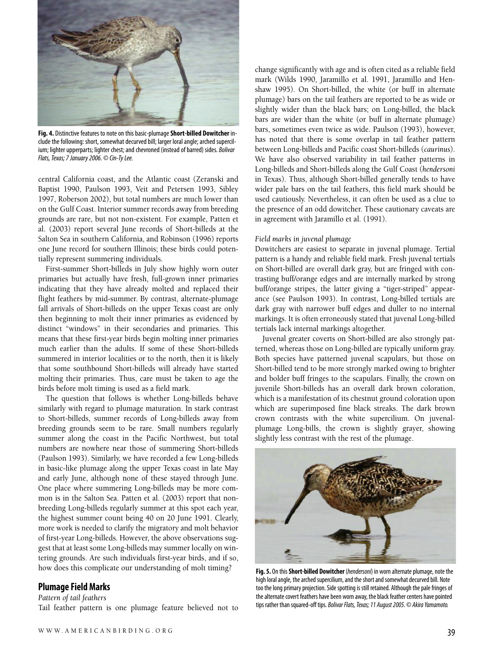

Fig. 4. Distinctive features to note on this basic-plumage Short-billed Dowitcher include the following: short, somewhat decurved bill; larger loral angle; arched supercilium; lighter upperparts; lighter chest; and chevroned (instead of barred) sides. Bolivar Flats, Texas; 7 January 2006. © Cin-Ty Lee.

central California coast, and the Atlantic coast (Zeranski and Baptist 1990, Paulson 1993, Veit and Petersen 1993, Sibley 1997, Roberson 2002), but total numbers are much lower than on the Gulf Coast. Interior summer records away from breeding grounds are rare, but not non-existent. For example, Patten et al. (2003) report several June records of Short-billeds at the Salton Sea in southern California, and Robinson (1996) reports one June record for southern Illinois; these birds could potentially represent summering individuals.

First-summer Short-billeds in July show highly worn outer primaries but actually have fresh, full-grown inner primaries indicating that they have already molted and replaced their flight feathers by mid-summer. By contrast, alternate-plumage fall arrivals of Short-billeds on the upper Texas coast are only then beginning to molt their inner primaries as evidenced by distinct "windows" in their secondaries and primaries. This means that these first-year birds begin molting inner primaries much earlier than the adults. If some of these Short-billeds summered in interior localities or to the north, then it is likely that some southbound Short-billeds will already have started molting their primaries. Thus, care must be taken to age the birds before molt timing is used as a field mark.

The question that follows is whether Long-billeds behave similarly with regard to plumage maturation. In stark contrast to Short-billeds, summer records of Long-billeds away from breeding grounds seem to be rare. Small numbers regularly summer along the coast in the Pacific Northwest, but total numbers are nowhere near those of summering Short-billeds (Paulson 1993). Similarly, we have recorded a few Long-billeds in basic-like plumage along the upper Texas coast in late May and early June, although none of these stayed through June. One place where summering Long-billeds may be more common is in the Salton Sea. Patten et al. (2003) report that nonbreeding Long-billeds regularly summer at this spot each year, the highest summer count being 40 on 20 June 1991. Clearly, more work is needed to clarify the migratory and molt behavior of first-year Long-billeds. However, the above observations suggest that at least some Long-billeds may summer locally on wintering grounds. Are such individuals first-year birds, and if so, how does this complicate our understanding of molt timing?

#### **Plumage Field Marks**

#### *Pattern of tail feathers*

Tail feather pattern is one plumage feature believed not to

change significantly with age and is often cited as a reliable field mark (Wilds 1990, Jaramillo et al. 1991, Jaramillo and Henshaw 1995). On Short-billed, the white (or buff in alternate plumage) bars on the tail feathers are reported to be as wide or slightly wider than the black bars; on Long-billed, the black bars are wider than the white (or buff in alternate plumage) bars, sometimes even twice as wide. Paulson (1993), however, has noted that there is some overlap in tail feather pattern between Long-billeds and Pacific coast Short-billeds (*caurinus*). We have also observed variability in tail feather patterns in Long-billeds and Short-billeds along the Gulf Coast (*hendersoni* in Texas). Thus, although Short-billed generally tends to have wider pale bars on the tail feathers, this field mark should be used cautiously. Nevertheless, it can often be used as a clue to the presence of an odd dowitcher. These cautionary caveats are in agreement with Jaramillo et al. (1991).

#### *Field marks in juvenal plumage*

Dowitchers are easiest to separate in juvenal plumage. Tertial pattern is a handy and reliable field mark. Fresh juvenal tertials on Short-billed are overall dark gray, but are fringed with contrasting buff/orange edges and are internally marked by strong buff/orange stripes, the latter giving a "tiger-striped" appearance (see Paulson 1993). In contrast, Long-billed tertials are dark gray with narrower buff edges and duller to no internal markings. It is often erroneously stated that juvenal Long-billed tertials lack internal markings altogether.

Juvenal greater coverts on Short-billed are also strongly patterned, whereas those on Long-billed are typically uniform gray. Both species have patterned juvenal scapulars, but those on Short-billed tend to be more strongly marked owing to brighter and bolder buff fringes to the scapulars. Finally, the crown on juvenile Short-billeds has an overall dark brown coloration, which is a manifestation of its chestnut ground coloration upon which are superimposed fine black streaks. The dark brown crown contrasts with the white supercilium. On juvenalplumage Long-bills, the crown is slightly grayer, showing slightly less contrast with the rest of the plumage.



Fig. 5. On this Short-billed Dowitcher (hendersoni) in worn alternate plumage, note the high loral angle, the arched supercilium, and the short and somewhat decurved bill. Note too the long primary projection. Side spotting is still retained. Although the pale fringes of the alternate covert feathers have been worn away, the black feather centers have pointed tips rather than squared-off tips. Bolivar Flats, Texas; 11 August 2005. © Akira Yamamoto.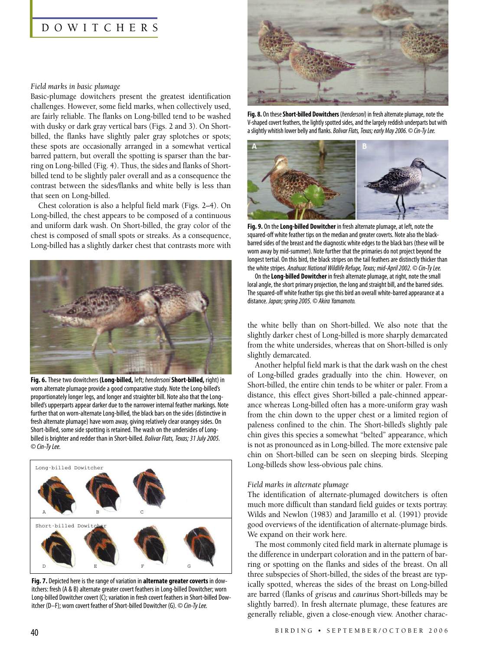#### D O W I T C H E R S

#### *Field marks in basic plumage*

Basic-plumage dowitchers present the greatest identification challenges. However, some field marks, when collectively used, are fairly reliable. The flanks on Long-billed tend to be washed with dusky or dark gray vertical bars (Figs. 2 and 3). On Shortbilled, the flanks have slightly paler gray splotches or spots; these spots are occasionally arranged in a somewhat vertical barred pattern, but overall the spotting is sparser than the barring on Long-billed (Fig. 4). Thus, the sides and flanks of Shortbilled tend to be slightly paler overall and as a consequence the contrast between the sides/flanks and white belly is less than that seen on Long-billed.

Chest coloration is also a helpful field mark (Figs. 2–4). On Long-billed, the chest appears to be composed of a continuous and uniform dark wash. On Short-billed, the gray color of the chest is composed of small spots or streaks. As a consequence, Long-billed has a slightly darker chest that contrasts more with



**Fig. 6.** These two dowitchers (Long-billed, left; hendersoni Short-billed, right) in worn alternate plumage provide a good comparative study. Note the Long-billed's proportionately longer legs, and longer and straighter bill. Note also that the Longbilled's upperparts appear darker due to the narrower internal feather markings. Note further that on worn-alternate Long-billed, the black bars on the sides (distinctive in fresh alternate plumage) have worn away, giving relatively clear orangey sides. On Short-billed, some side spotting is retained. The wash on the undersides of Longbilled is brighter and redder than in Short-billed. Bolivar Flats, Texas; 31 July 2005. ©Cin-TyLee.



**Fig. 7.** Depicted here is the range of variation in **alternate greater coverts** in dowitchers: fresh (A & B) alternate greater covert feathers in Long-billed Dowitcher; worn Long-billed Dowitcher covert (C); variation in fresh covert feathers in Short-billed Dowitcher (D–F); worn covert feather of Short-billed Dowitcher (G).  $\odot$  Cin-Ty Lee.



Fig. 8. On these Short-billed Dowitchers (hendersoni) in fresh alternate plumage, note the V-shaped covert feathers, the lightly spotted sides, and the largely reddish underparts but with a slightly whitish lower belly and flanks. Bolivar Flats, Texas; early May 2006. © Cin-Ty Lee.



**Fig. 9.** On the Long-billed Dowitcher in fresh alternate plumage, at left, note the squared-off white feather tips on the median and greater coverts. Note also the blackbarred sides of the breast and the diagnostic white edges to the black bars (these will be worn away by mid-summer). Note further that the primaries do not project beyond the longest tertial. On this bird, the black stripes on the tail feathers are distinctly thicker than the white stripes. Anahuac National Wildlife Refuge, Texas; mid-April 2002. © Cin-Ty Lee.

On the Long-billed Dowitcher in fresh alternate plumage, at right, note the small loral angle, the short primary projection, the long and straight bill, and the barred sides. The squared-off white feather tips give this bird an overall white-barred appearance at a distance. Japan; spring 2005. © Akira Yamamoto.

the white belly than on Short-billed. We also note that the slightly darker chest of Long-billed is more sharply demarcated from the white undersides, whereas that on Short-billed is only slightly demarcated.

Another helpful field mark is that the dark wash on the chest of Long-billed grades gradually into the chin. However, on Short-billed, the entire chin tends to be whiter or paler. From a distance, this effect gives Short-billed a pale-chinned appearance whereas Long-billed often has a more-uniform gray wash from the chin down to the upper chest or a limited region of paleness confined to the chin. The Short-billed's slightly pale chin gives this species a somewhat "belted" appearance, which is not as pronounced as in Long-billed. The more extensive pale chin on Short-billed can be seen on sleeping birds. Sleeping Long-billeds show less-obvious pale chins.

#### *Field marks in alternate plumage*

The identification of alternate-plumaged dowitchers is often much more difficult than standard field guides or texts portray. Wilds and Newlon (1983) and Jaramillo et al. (1991) provide good overviews of the identification of alternate-plumage birds. We expand on their work here.

The most commonly cited field mark in alternate plumage is the difference in underpart coloration and in the pattern of barring or spotting on the flanks and sides of the breast. On all three subspecies of Short-billed, the sides of the breast are typically spotted, whereas the sides of the breast on Long-billed are barred (flanks of *griseus* and *caurinus* Short-billeds may be slightly barred). In fresh alternate plumage, these features are generally reliable, given a close-enough view. Another charac-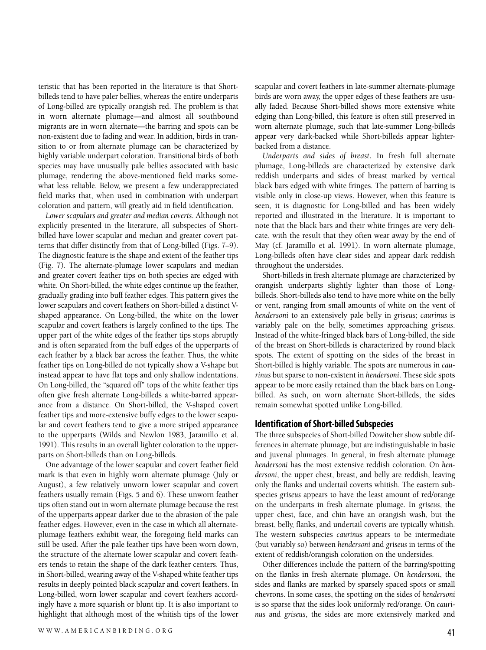teristic that has been reported in the literature is that Shortbilleds tend to have paler bellies, whereas the entire underparts of Long-billed are typically orangish red. The problem is that in worn alternate plumage—and almost all southbound migrants are in worn alternate—the barring and spots can be non-existent due to fading and wear. In addition, birds in transition to or from alternate plumage can be characterized by highly variable underpart coloration. Transitional birds of both species may have unusually pale bellies associated with basic plumage, rendering the above-mentioned field marks somewhat less reliable. Below, we present a few underappreciated field marks that, when used in combination with underpart coloration and pattern, will greatly aid in field identification.

*Lower scapulars and greater and median coverts*. Although not explicitly presented in the literature, all subspecies of Shortbilled have lower scapular and median and greater covert patterns that differ distinctly from that of Long-billed (Figs. 7–9). The diagnostic feature is the shape and extent of the feather tips (Fig. 7). The alternate-plumage lower scapulars and median and greater covert feather tips on both species are edged with white. On Short-billed, the white edges continue up the feather, gradually grading into buff feather edges. This pattern gives the lower scapulars and covert feathers on Short-billed a distinct Vshaped appearance. On Long-billed, the white on the lower scapular and covert feathers is largely confined to the tips. The upper part of the white edges of the feather tips stops abruptly and is often separated from the buff edges of the upperparts of each feather by a black bar across the feather. Thus, the white feather tips on Long-billed do not typically show a V-shape but instead appear to have flat tops and only shallow indentations. On Long-billed, the "squared off" tops of the white feather tips often give fresh alternate Long-billeds a white-barred appearance from a distance. On Short-billed, the V-shaped covert feather tips and more-extensive buffy edges to the lower scapular and covert feathers tend to give a more striped appearance to the upperparts (Wilds and Newlon 1983, Jaramillo et al. 1991). This results in an overall lighter coloration to the upperparts on Short-billeds than on Long-billeds.

One advantage of the lower scapular and covert feather field mark is that even in highly worn alternate plumage (July or August), a few relatively unworn lower scapular and covert feathers usually remain (Figs. 5 and 6). These unworn feather tips often stand out in worn alternate plumage because the rest of the upperparts appear darker due to the abrasion of the pale feather edges. However, even in the case in which all alternateplumage feathers exhibit wear, the foregoing field marks can still be used. After the pale feather tips have been worn down, the structure of the alternate lower scapular and covert feathers tends to retain the shape of the dark feather centers. Thus, in Short-billed, wearing away of the V-shaped white feather tips results in deeply pointed black scapular and covert feathers. In Long-billed, worn lower scapular and covert feathers accordingly have a more squarish or blunt tip. It is also important to highlight that although most of the whitish tips of the lower scapular and covert feathers in late-summer alternate-plumage birds are worn away, the upper edges of these feathers are usually faded. Because Short-billed shows more extensive white edging than Long-billed, this feature is often still preserved in worn alternate plumage, such that late-summer Long-billeds appear very dark-backed while Short-billeds appear lighterbacked from a distance.

*Underparts and sides of breast*. In fresh full alternate plumage, Long-billeds are characterized by extensive dark reddish underparts and sides of breast marked by vertical black bars edged with white fringes. The pattern of barring is visible only in close-up views. However, when this feature is seen, it is diagnostic for Long-billed and has been widely reported and illustrated in the literature. It is important to note that the black bars and their white fringes are very delicate, with the result that they often wear away by the end of May (cf. Jaramillo et al. 1991). In worn alternate plumage, Long-billeds often have clear sides and appear dark reddish throughout the undersides.

Short-billeds in fresh alternate plumage are characterized by orangish underparts slightly lighter than those of Longbilleds. Short-billeds also tend to have more white on the belly or vent, ranging from small amounts of white on the vent of *hendersoni* to an extensively pale belly in *griseus*; *caurinus* is variably pale on the belly, sometimes approaching *griseus*. Instead of the white-fringed black bars of Long-billed, the side of the breast on Short-billeds is characterized by round black spots. The extent of spotting on the sides of the breast in Short-billed is highly variable. The spots are numerous in *caurinus* but sparse to non-existent in *hendersoni*. These side spots appear to be more easily retained than the black bars on Longbilled. As such, on worn alternate Short-billeds, the sides remain somewhat spotted unlike Long-billed.

#### **Identification ofShort-billed Subspecies**

The three subspecies of Short-billed Dowitcher show subtle differences in alternate plumage, but are indistinguishable in basic and juvenal plumages. In general, in fresh alternate plumage *hendersoni* has the most extensive reddish coloration. On *hendersoni*, the upper chest, breast, and belly are reddish, leaving only the flanks and undertail coverts whitish. The eastern subspecies *griseus* appears to have the least amount of red/orange on the underparts in fresh alternate plumage. In *griseus*, the upper chest, face, and chin have an orangish wash, but the breast, belly, flanks, and undertail coverts are typically whitish. The western subspecies *caurinus* appears to be intermediate (but variably so) between *hendersoni* and *griseus* in terms of the extent of reddish/orangish coloration on the undersides.

Other differences include the pattern of the barring/spotting on the flanks in fresh alternate plumage. On *hendersoni*, the sides and flanks are marked by sparsely spaced spots or small chevrons. In some cases, the spotting on the sides of *hendersoni* is so sparse that the sides look uniformly red/orange. On *caurinus* and *griseus*, the sides are more extensively marked and